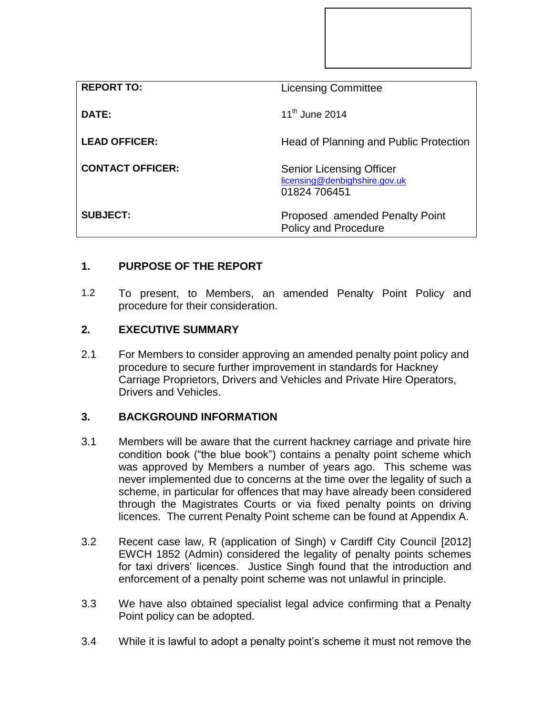| <b>REPORT TO:</b>       | <b>Licensing Committee</b>                                                       |
|-------------------------|----------------------------------------------------------------------------------|
| DATE:                   | $11^{th}$ June 2014                                                              |
| <b>LEAD OFFICER:</b>    | Head of Planning and Public Protection                                           |
| <b>CONTACT OFFICER:</b> | <b>Senior Licensing Officer</b><br>licensing@denbighshire.gov.uk<br>01824 706451 |
| <b>SUBJECT:</b>         | Proposed amended Penalty Point<br><b>Policy and Procedure</b>                    |

# **1. PURPOSE OF THE REPORT**

1.2 To present, to Members, an amended Penalty Point Policy and procedure for their consideration.

## **2. EXECUTIVE SUMMARY**

2.1 For Members to consider approving an amended penalty point policy and procedure to secure further improvement in standards for Hackney Carriage Proprietors, Drivers and Vehicles and Private Hire Operators, Drivers and Vehicles.

## **3. BACKGROUND INFORMATION**

- 3.1 Members will be aware that the current hackney carriage and private hire condition book ("the blue book") contains a penalty point scheme which was approved by Members a number of years ago. This scheme was never implemented due to concerns at the time over the legality of such a scheme, in particular for offences that may have already been considered through the Magistrates Courts or via fixed penalty points on driving licences. The current Penalty Point scheme can be found at Appendix A.
- 3.2 Recent case law, R (application of Singh) v Cardiff City Council [2012] EWCH 1852 (Admin) considered the legality of penalty points schemes for taxi drivers' licences. Justice Singh found that the introduction and enforcement of a penalty point scheme was not unlawful in principle.
- 3.3 We have also obtained specialist legal advice confirming that a Penalty Point policy can be adopted.
- 3.4 While it is lawful to adopt a penalty point's scheme it must not remove the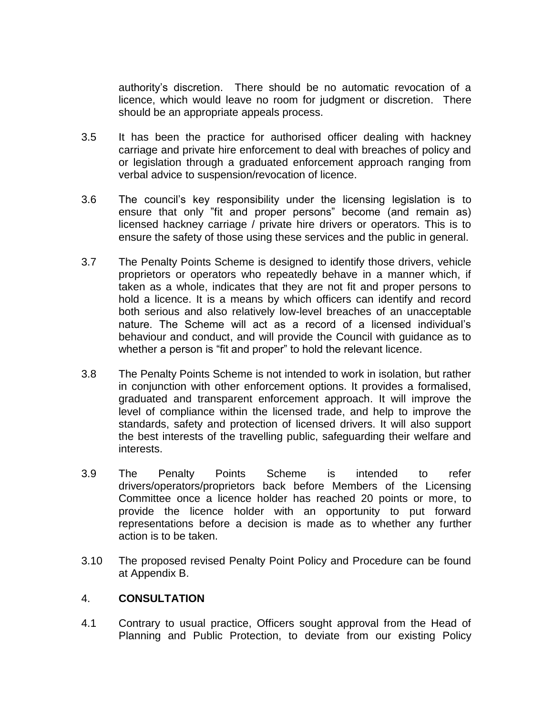authority's discretion. There should be no automatic revocation of a licence, which would leave no room for judgment or discretion. There should be an appropriate appeals process.

- 3.5 It has been the practice for authorised officer dealing with hackney carriage and private hire enforcement to deal with breaches of policy and or legislation through a graduated enforcement approach ranging from verbal advice to suspension/revocation of licence.
- 3.6 The council's key responsibility under the licensing legislation is to ensure that only "fit and proper persons" become (and remain as) licensed hackney carriage / private hire drivers or operators. This is to ensure the safety of those using these services and the public in general.
- 3.7 The Penalty Points Scheme is designed to identify those drivers, vehicle proprietors or operators who repeatedly behave in a manner which, if taken as a whole, indicates that they are not fit and proper persons to hold a licence. It is a means by which officers can identify and record both serious and also relatively low-level breaches of an unacceptable nature. The Scheme will act as a record of a licensed individual's behaviour and conduct, and will provide the Council with guidance as to whether a person is "fit and proper" to hold the relevant licence.
- 3.8 The Penalty Points Scheme is not intended to work in isolation, but rather in conjunction with other enforcement options. It provides a formalised, graduated and transparent enforcement approach. It will improve the level of compliance within the licensed trade, and help to improve the standards, safety and protection of licensed drivers. It will also support the best interests of the travelling public, safeguarding their welfare and interests.
- 3.9 The Penalty Points Scheme is intended to refer drivers/operators/proprietors back before Members of the Licensing Committee once a licence holder has reached 20 points or more, to provide the licence holder with an opportunity to put forward representations before a decision is made as to whether any further action is to be taken.
- 3.10 The proposed revised Penalty Point Policy and Procedure can be found at Appendix B.

## 4. **CONSULTATION**

4.1 Contrary to usual practice, Officers sought approval from the Head of Planning and Public Protection, to deviate from our existing Policy